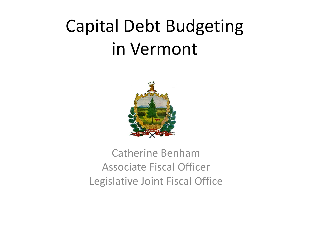## Capital Debt Budgeting in Vermont



#### Catherine Benham Associate Fiscal Officer Legislative Joint Fiscal Office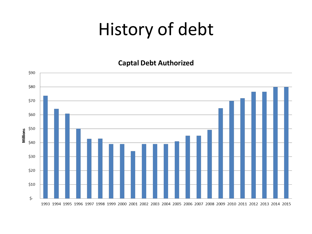### History of debt

**Captal Debt Authorized** 

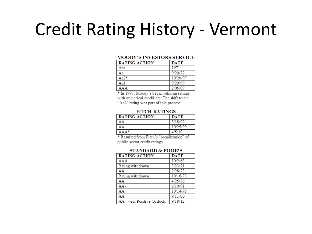#### **Credit Rating History - Vermont**

#### **MOODY'S INVESTORS SERVICE**

| <b>RATING ACTION</b> | <b>DATE</b> |
|----------------------|-------------|
| Ааа                  | 1971        |
| Аа                   | 9/20/72     |
| Aa2*                 | 10/20/97    |
| Aa1                  | 9/29/99     |
|                      | 2/05/07     |

\* In 1997, Moody's began refining ratings with numerical modifiers. The shift to the "Aa2" rating was part of this process.

#### **FITCH RATINGS**

| RATING ACTION | <b>DATE</b> |
|---------------|-------------|
| AА            | 8/18/92     |
|               | 10/25/99    |
| $AAA*$        | 4/5/10      |

\* Resulted from Fitch's "recalibration" of public sector credit ratings.

#### **STANDARD & POOR'S**

| <b>RATING ACTION</b>      | <b>DATE</b> |
|---------------------------|-------------|
| AAA                       | 10/2/63     |
| Rating withdrawn          | 3/23/71     |
| AA                        | 2/28/73     |
| Rating withdrawn          | 10/16/73    |
| AA                        | 4/25/86     |
| AA-                       | 6/10/91     |
| AΑ                        | 10/14/98    |
| $AA+$                     | 9/11/00     |
| AA+ with Positive Outlook | 9/18/12     |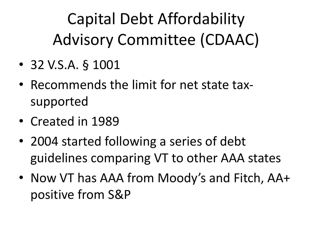Capital Debt Affordability Advisory Committee (CDAAC)

- 32 V.S.A. § 1001
- Recommends the limit for net state taxsupported
- Created in 1989
- 2004 started following a series of debt guidelines comparing VT to other AAA states
- Now VT has AAA from Moody's and Fitch, AA+ positive from S&P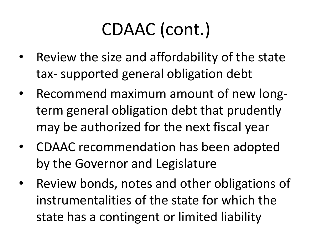# CDAAC (cont.)

- Review the size and affordability of the state tax- supported general obligation debt
- Recommend maximum amount of new longterm general obligation debt that prudently may be authorized for the next fiscal year
- CDAAC recommendation has been adopted by the Governor and Legislature
- Review bonds, notes and other obligations of instrumentalities of the state for which the state has a contingent or limited liability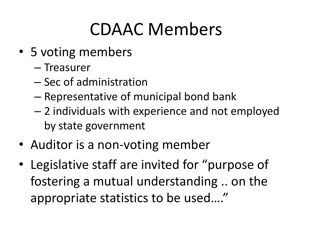### CDAAC Members

- 5 voting members
	- Treasurer
	- Sec of administration
	- Representative of municipal bond bank
	- 2 individuals with experience and not employed by state government
- Auditor is a non-voting member
- Legislative staff are invited for "purpose of fostering a mutual understanding .. on the appropriate statistics to be used…."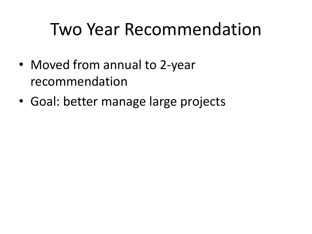### Two Year Recommendation

- Moved from annual to 2-year recommendation
- Goal: better manage large projects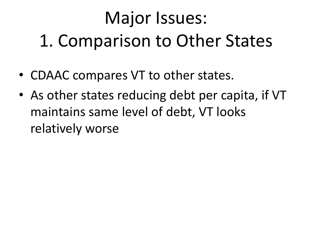# Major Issues: 1. Comparison to Other States

- CDAAC compares VT to other states.
- As other states reducing debt per capita, if VT maintains same level of debt, VT looks relatively worse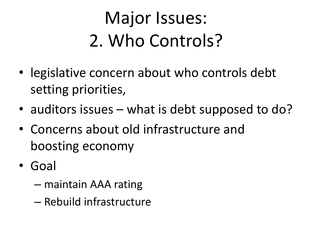# Major Issues: 2. Who Controls?

- legislative concern about who controls debt setting priorities,
- auditors issues what is debt supposed to do?
- Concerns about old infrastructure and boosting economy
- Goal
	- maintain AAA rating
	- Rebuild infrastructure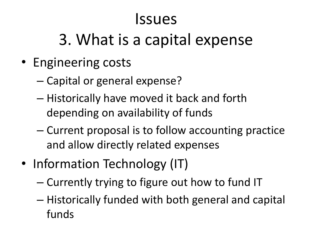#### Issues

#### 3. What is a capital expense

- Engineering costs
	- Capital or general expense?
	- Historically have moved it back and forth depending on availability of funds
	- Current proposal is to follow accounting practice and allow directly related expenses
- Information Technology (IT)
	- Currently trying to figure out how to fund IT
	- Historically funded with both general and capital funds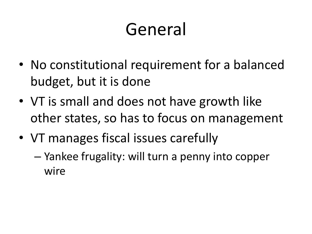### General

- No constitutional requirement for a balanced budget, but it is done
- VT is small and does not have growth like other states, so has to focus on management
- VT manages fiscal issues carefully
	- Yankee frugality: will turn a penny into copper wire